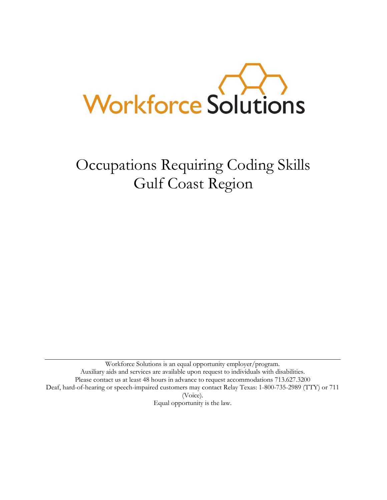

Occupations Requiring Coding Skills Gulf Coast Region

Workforce Solutions is an equal opportunity employer/program. Auxiliary aids and services are available upon request to individuals with disabilities. Please contact us at least 48 hours in advance to request accommodations 713.627.3200 Deaf, hard-of-hearing or speech-impaired customers may contact [Relay Texas:](http://www.puc.state.tx.us/relaytexas/relay/CallTypes.aspx) 1-800-735-2989 (TTY) or 711 (Voice). [Equal opportunity is the law.](http://www.twc.state.tx.us/twcinfo/equal-opportunity.html)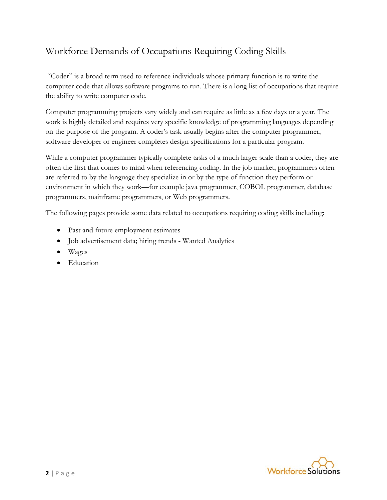# Workforce Demands of Occupations Requiring Coding Skills

"Coder" is a broad term used to reference individuals whose primary function is to write the computer code that allows software programs to run. There is a long list of occupations that require the ability to write computer code.

Computer programming projects vary widely and can require as little as a few days or a year. The work is highly detailed and requires very specific knowledge of programming languages depending on the purpose of the program. A coder's task usually begins after the computer programmer, software developer or engineer completes design specifications for a particular program.

While a computer programmer typically complete tasks of a much larger scale than a coder, they are often the first that comes to mind when referencing coding. In the job market, programmers often are referred to by the language they specialize in or by the type of function they perform or environment in which they work—for example java programmer, COBOL programmer, database programmers, mainframe programmers, or Web programmers.

The following pages provide some data related to occupations requiring coding skills including:

- Past and future employment estimates
- Job advertisement data; hiring trends Wanted Analytics
- Wages
- Education

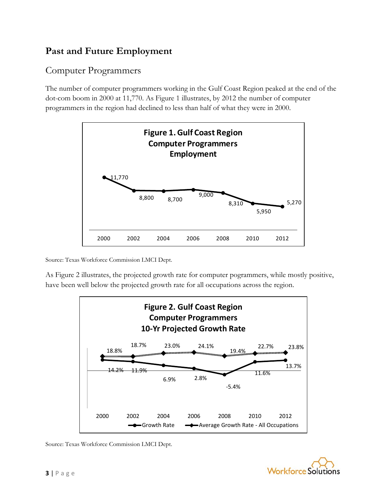# **Past and Future Employment**

### Computer Programmers

The number of computer programmers working in the Gulf Coast Region peaked at the end of the dot-com boom in 2000 at 11,770. As Figure 1 illustrates, by 2012 the number of computer programmers in the region had declined to less than half of what they were in 2000.



Source: Texas Workforce Commission LMCI Dept.

As Figure 2 illustrates, the projected growth rate for computer pogrammers, while mostly positive, have been well below the projected growth rate for all occupations across the region.



Source: Texas Workforce Commission LMCI Dept.

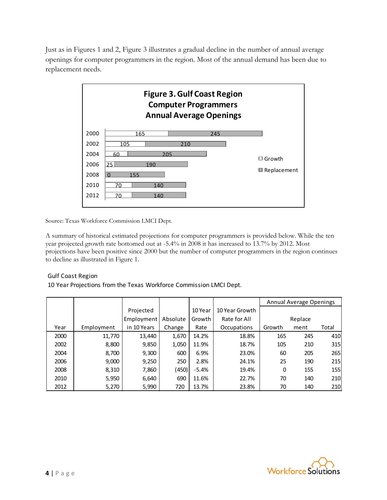Just as in Figures 1 and 2, Figure 3 illustrates a gradual decline in the number of annual average openings for computer programmers in the region. Most of the annual demand has been due to replacement needs.



Source: Texas Workforce Commission LMCI Dept.

A summary of historical estimated projections for computer programmers is provided below. While the ten year projected growth rate bottomed out at -5.4% in 2008 it has increased to 13.7% by 2012. Most projections have been positive since 2000 but the number of computer programmers in the region continues to decline as illustrated in Figure 1.

#### Gulf Coast Region

10 Year Projections from the Texas Workforce Commission LMCI Dept.

|      |            |             |          |         |                | Annual Average Openings |         |       |
|------|------------|-------------|----------|---------|----------------|-------------------------|---------|-------|
|      |            | Projected   |          | 10 Year | 10 Year Growth |                         |         |       |
|      |            | Employment  | Absolute | Growth  | Rate for All   |                         | Replace |       |
| Year | Employment | in 10 Years | Change   | Rate    | Occupations    | Growth                  | ment    | Total |
| 2000 | 11,770     | 13,440      | 1,670    | 14.2%   | 18.8%          | 165                     | 245     | 410   |
| 2002 | 8,800      | 9,850       | 1,050    | 11.9%   | 18.7%          | 105                     | 210     | 315   |
| 2004 | 8,700      | 9,300       | 600      | 6.9%    | 23.0%          | 60                      | 205     | 265   |
| 2006 | 9,000      | 9,250       | 250      | 2.8%    | 24.1%          | 25                      | 190     | 215   |
| 2008 | 8,310      | 7,860       | (450)    | $-5.4%$ | 19.4%          | 0                       | 155     | 155   |
| 2010 | 5,950      | 6,640       | 690      | 11.6%   | 22.7%          | 70                      | 140     | 210   |
| 2012 | 5,270      | 5,990       | 720      | 13.7%   | 23.8%          | 70                      | 140     | 210   |

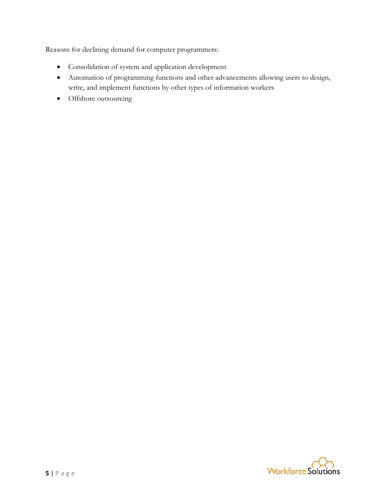Reasons for declining demand for computer programmers:

- Consolidation of system and application development
- Automation of programming functions and other advancements allowing users to design, write, and implement functions by other types of information workers
- Offshore outsourcing

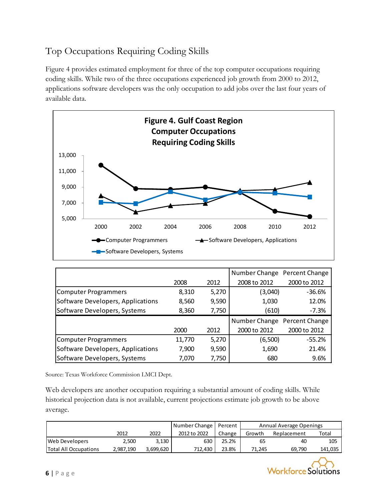# Top Occupations Requiring Coding Skills

Figure 4 provides estimated employment for three of the top computer occupations requiring coding skills. While two of the three occupations experienced job growth from 2000 to 2012, applications software developers was the only occupation to add jobs over the last four years of available data.



|                                   |        |       | Number Change Percent Change |              |
|-----------------------------------|--------|-------|------------------------------|--------------|
|                                   | 2008   | 2012  | 2008 to 2012                 | 2000 to 2012 |
| <b>Computer Programmers</b>       | 8,310  | 5,270 | (3,040)                      | $-36.6%$     |
| Software Developers, Applications | 8,560  | 9,590 | 1,030                        | 12.0%        |
| Software Developers, Systems      | 8,360  | 7,750 | (610)                        | $-7.3%$      |
|                                   |        |       | Number Change Percent Change |              |
|                                   | 2000   | 2012  | 2000 to 2012                 | 2000 to 2012 |
| <b>Computer Programmers</b>       | 11,770 | 5,270 | (6,500)                      | $-55.2%$     |
| Software Developers, Applications | 7,900  | 9,590 | 1,690                        | 21.4%        |
| Software Developers, Systems      | 7,070  | 7,750 | 680                          | 9.6%         |

Source: Texas Workforce Commission LMCI Dept.

Web developers are another occupation requiring a substantial amount of coding skills. While historical projection data is not available, current projections estimate job growth to be above average.

|                       |           |           |              | Number Change   Percent | Annual Average Openings |             |         |  |
|-----------------------|-----------|-----------|--------------|-------------------------|-------------------------|-------------|---------|--|
|                       | 2012      | 2022      | 2012 to 2022 | Change                  | Growth                  | Replacement | Total   |  |
| Web Developers        | 2,500     | 3.130     | 630          | 25.2%                   | 65                      | 40          | 105     |  |
| Total All Occupations | 2,987,190 | 3,699,620 | 712.430      | 23.8%                   | 71.245                  | 69.790      | 141,035 |  |

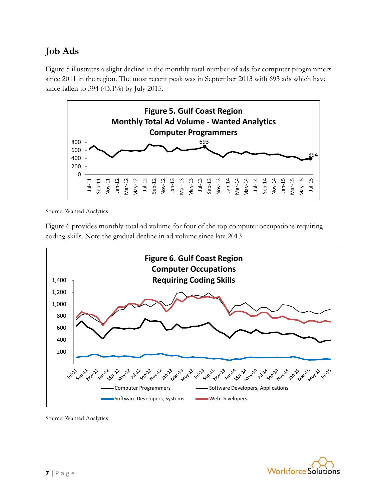# **Job Ads**

Figure 5 illustrates a slight decline in the monthly total number of ads for computer programmers since 2011 in the region. The most recent peak was in September 2013 with 693 ads which have since fallen to 394 (43.1%) by July 2015.



Source: Wanted Analytics

Figure 6 provides monthly total ad volume for four of the top computer occupations requiring coding skills. Note the gradual decline in ad volume since late 2013.



Source: Wanted Analytics

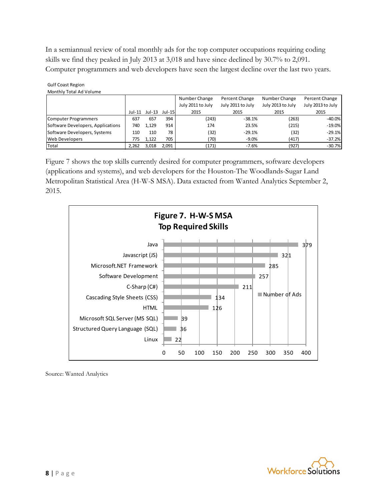In a semiannual review of total monthly ads for the top computer occupations requiring coding skills we find they peaked in July 2013 at 3,018 and have since declined by 30.7% to 2,091. Computer programmers and web developers have seen the largest decline over the last two years.

|                                   |       |                      | Number Change | Percent Change    | Number Change     | Percent Change    |                   |
|-----------------------------------|-------|----------------------|---------------|-------------------|-------------------|-------------------|-------------------|
|                                   |       |                      |               | July 2011 to July | July 2011 to July | July 2013 to July | July 2013 to July |
|                                   |       | Jul-11 Jul-13 Jul-15 |               | 2015              | 2015              | 2015              | 2015              |
| Computer Programmers              | 637   | 657                  | 394           | (243)             | $-38.1%$          | (263)             | $-40.0%$          |
| Software Developers, Applications | 740   | 1,129                | 914           | 174               | 23.5%             | (215)             | $-19.0\%$         |
| Software Developers, Systems      | 110   | 110                  | 78            | (32)              | $-29.1%$          | (32)              | $-29.1%$          |
| Web Developers                    | 775   | 1.122                | 705           | '70)              | $-9.0%$           | (417)             | $-37.2%$          |
| Total                             | 2.262 | 3,018                | 2.091         | (171)             | $-7.6%$           | (927)             | $-30.7%$          |

Gulf Coast Region Monthly Total Ad Volume

Figure 7 shows the top skills currently desired for computer programmers, software developers (applications and systems), and web developers for the Houston-The Woodlands-Sugar Land Metropolitan Statistical Area (H-W-S MSA). Data extacted from Wanted Analytics September 2, 2015.



Source: Wanted Analytics

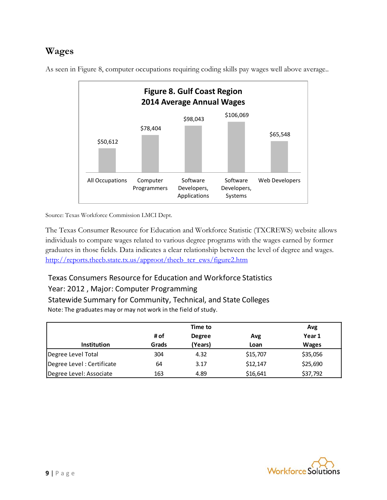### **Wages**



As seen in Figure 8, computer occupations requiring coding skills pay wages well above average..

Source: Texas Workforce Commission LMCI Dept.

The Texas Consumer Resource for Education and Workforce Statistic (TXCREWS) website allows individuals to compare wages related to various degree programs with the wages earned by former graduates in those fields. Data indicates a clear relationship between the level of degree and wages. [http://reports.thecb.state.tx.us/approot/thecb\\_tcr\\_ews/figure2.htm](http://reports.thecb.state.tx.us/approot/thecb_tcr_ews/figure2.htm)

#### Texas Consumers Resource for Education and Workforce Statistics

#### Year: 2012 , Major: Computer Programming

Statewide Summary for Community, Technical, and State Colleges Note: The graduates may or may not work in the field of study.

|                           |       | Time to       |          |              |
|---------------------------|-------|---------------|----------|--------------|
|                           | # of  | <b>Degree</b> | Avg      | Year 1       |
| <b>Institution</b>        | Grads | (Years)       | Loan     | <b>Wages</b> |
| Degree Level Total        | 304   | 4.32          | \$15,707 | \$35,056     |
| Degree Level: Certificate | 64    | 3.17          | \$12,147 | \$25,690     |
| Degree Level: Associate   | 163   | 4.89          | \$16,641 | \$37,792     |

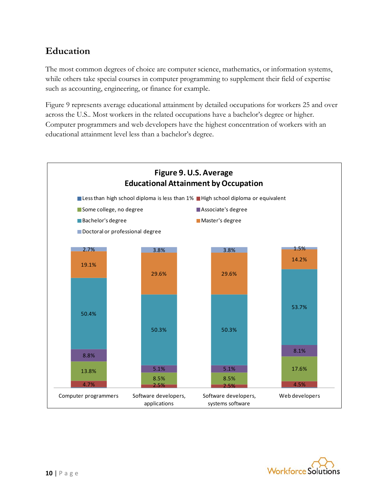### **Education**

The most common degrees of choice are computer science, mathematics, or information systems, while others take special courses in computer programming to supplement their field of expertise such as accounting, engineering, or finance for example.

Figure 9 represents average educational attainment by detailed occupations for workers 25 and over across the U.S.. Most workers in the related occupations have a bachelor's degree or higher. Computer programmers and web developers have the highest concentration of workers with an educational attainment level less than a bachelor's degree.